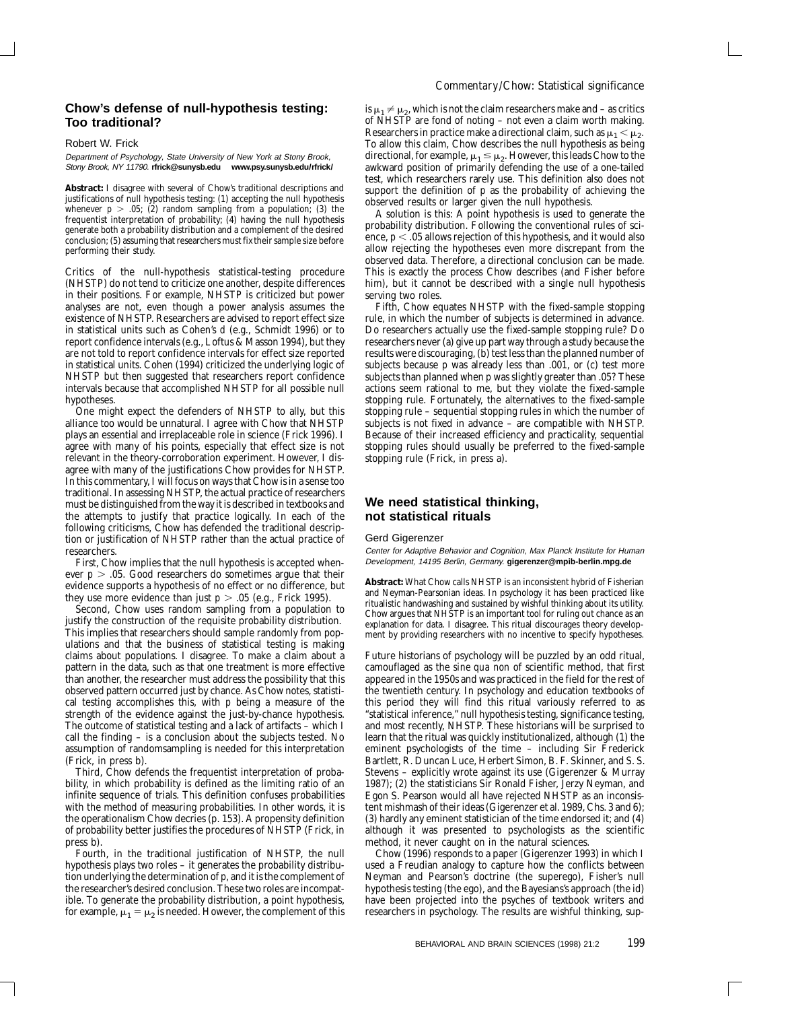# **Chow's defense of null-hypothesis testing: Too traditional?**

### Robert W. Frick

Department of Psychology, State University of New York at Stony Brook, Stony Brook, NY 11790. **rfrick@sunysb.edu www.psy.sunysb.edu/rfrick/**

**Abstract:** I disagree with several of Chow's traditional descriptions and justifications of null hypothesis testing: (1) accepting the null hypothesis whenever  $p > .05$ ; (2) random sampling from a population; (3) the frequentist interpretation of probability; (4) having the null hypothesis generate both a probability distribution and a complement of the desired conclusion; (5) assuming that researchers must fix their sample size before performing their study.

Critics of the null-hypothesis statistical-testing procedure (NHSTP) do not tend to criticize one another, despite differences in their positions. For example, NHSTP is criticized but power analyses are not, even though a power analysis assumes the existence of NHSTP. Researchers are advised to report effect size in statistical units such as Cohen's *d* (e.g., Schmidt 1996) or to report confidence intervals (e.g., Loftus & Masson 1994), but they are not told to report confidence intervals for effect size reported in statistical units. Cohen (1994) criticized the underlying logic of NHSTP but then suggested that researchers report confidence intervals because that accomplished NHSTP for all possible null hypotheses.

One might expect the defenders of NHSTP to ally, but this alliance too would be unnatural. I agree with Chow that NHSTP plays an essential and irreplaceable role in science (Frick 1996). I agree with many of his points, especially that effect size is not relevant in the theory-corroboration experiment. However, I disagree with many of the justifications Chow provides for NHSTP. In this commentary, I will focus on ways that Chow is in a sense too traditional. In assessing NHSTP, the actual practice of researchers must be distinguished from the way it is described in textbooks and the attempts to justify that practice logically. In each of the following criticisms, Chow has defended the traditional description or justification of NHSTP rather than the actual practice of researchers.

First, Chow implies that the null hypothesis is accepted whenever  $p > 0.05$ . Good researchers do sometimes argue that their evidence supports a hypothesis of no effect or no difference, but they use more evidence than just  $p > .05$  (e.g., Frick 1995).

Second, Chow uses random sampling from a population to justify the construction of the requisite probability distribution. This implies that researchers should sample randomly from populations and that the business of statistical testing is making claims about populations. I disagree. To make a claim about a pattern in the data, such as that one treatment is more effective than another, the researcher must address the possibility that this observed pattern occurred just by chance. As Chow notes, statistical testing accomplishes this, with *p* being a measure of the strength of the evidence against the just-by-chance hypothesis. The outcome of statistical testing and a lack of artifacts – which I call the finding – is a conclusion about the subjects tested. No assumption of randomsampling is needed for this interpretation (Frick, in press b).

Third, Chow defends the frequentist interpretation of probability, in which probability is defined as the limiting ratio of an infinite sequence of trials. This definition confuses probabilities with the method of measuring probabilities. In other words, it is the operationalism Chow decries (p. 153). A propensity definition of probability better justifies the procedures of NHSTP (Frick, in press b).

Fourth, in the traditional justification of NHSTP, the null hypothesis plays two roles – it generates the probability distribution underlying the determination of *p,* and it is the complement of the researcher's desired conclusion. These two roles are incompatible. To generate the probability distribution, a point hypothesis, for example,  $\mu_1 = \mu_2$  is needed. However, the complement of this is  $\mu_1 \neq \mu_2$ , which is not the claim researchers make and – as critics of NHSTP are fond of noting – not even a claim worth making. Researchers in practice make a directional claim, such as  $\mu_1 < \mu_2$ . To allow this claim, Chow describes the null hypothesis as being directional, for example,  $\mu_1 \leq \mu_2$ . However, this leads Chow to the awkward position of primarily defending the use of a one-tailed test, which researchers rarely use. This definition also does not support the definition of *p* as the probability of achieving the observed results or larger given the null hypothesis.

A solution is this: A point hypothesis is used to generate the probability distribution. Following the conventional rules of science,  $p < .05$  allows rejection of this hypothesis, and it would also allow rejecting the hypotheses even more discrepant from the observed data. Therefore, a directional conclusion can be made. This is exactly the process Chow describes (and Fisher before him), but it cannot be described with a single null hypothesis serving two roles.

Fifth, Chow equates NHSTP with the fixed-sample stopping rule, in which the number of subjects is determined in advance. Do researchers actually use the fixed-sample stopping rule? Do researchers never (a) give up part way through a study because the results were discouraging, (b) test less than the planned number of subjects because *p* was already less than .001, or (c) test more subjects than planned when *p* was slightly greater than .05? These actions seem rational to me, but they violate the fixed-sample stopping rule. Fortunately, the alternatives to the fixed-sample stopping rule – sequential stopping rules in which the number of subjects is not fixed in advance – are compatible with NHSTP. Because of their increased efficiency and practicality, sequential stopping rules should usually be preferred to the fixed-sample stopping rule (Frick, in press a).

## **We need statistical thinking, not statistical rituals**

#### Gerd Gigerenzer

Center for Adaptive Behavior and Cognition, Max Planck Institute for Human Development, 14195 Berlin, Germany. **gigerenzer@mpib-berlin.mpg.de**

**Abstract:** What Chow calls NHSTP is an inconsistent hybrid of Fisherian and Neyman-Pearsonian ideas. In psychology it has been practiced like ritualistic handwashing and sustained by wishful thinking about its utility. Chow argues that NHSTP is an important tool for ruling out chance as an explanation for data. I disagree. This ritual discourages theory development by providing researchers with no incentive to specify hypotheses.

Future historians of psychology will be puzzled by an odd ritual, camouflaged as the *sine qua non* of scientific method, that first appeared in the 1950s and was practiced in the field for the rest of the twentieth century. In psychology and education textbooks of this period they will find this ritual variously referred to as "statistical inference," null hypothesis testing, significance testing, and most recently, NHSTP. These historians will be surprised to learn that the ritual was quickly institutionalized, although (1) the eminent psychologists of the time – including Sir Frederick Bartlett, R. Duncan Luce, Herbert Simon, B. F. Skinner, and S. S. Stevens – explicitly wrote against its use (Gigerenzer & Murray 1987); (2) the statisticians Sir Ronald Fisher, Jerzy Neyman, and Egon S. Pearson would all have rejected NHSTP as an inconsistent mishmash of their ideas (Gigerenzer et al. 1989, Chs. 3 and 6); (3) hardly any eminent statistician of the time endorsed it; and (4) although it was presented to psychologists as the scientific method, it never caught on in the natural sciences.

Chow (1996) responds to a paper (Gigerenzer 1993) in which I used a Freudian analogy to capture how the conflicts between Neyman and Pearson's doctrine (the superego), Fisher's null hypothesis testing (the ego), and the Bayesians's approach (the id) have been projected into the psyches of textbook writers and researchers in psychology. The results are wishful thinking, sup-